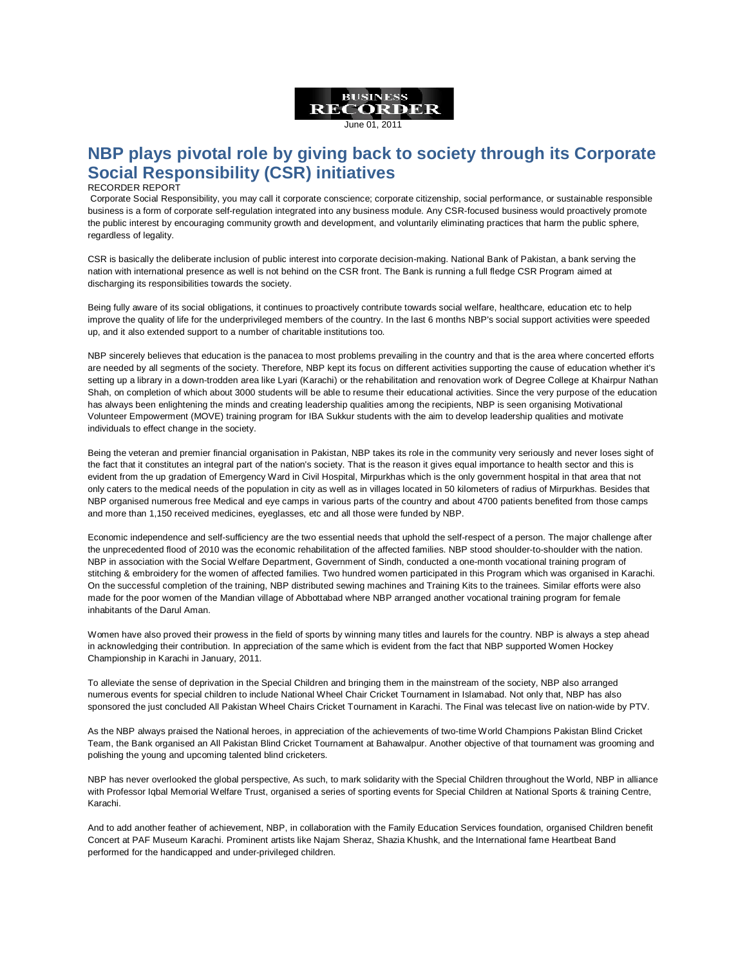

## June 01, 2011

## **NBP plays pivotal role by giving back to society through its Corporate Social Responsibility (CSR) initiatives**

## RECORDER REPORT

Corporate Social Responsibility, you may call it corporate conscience; corporate citizenship, social performance, or sustainable responsible business is a form of corporate self-regulation integrated into any business module. Any CSR-focused business would proactively promote the public interest by encouraging community growth and development, and voluntarily eliminating practices that harm the public sphere, regardless of legality.

CSR is basically the deliberate inclusion of public interest into corporate decision-making. National Bank of Pakistan, a bank serving the nation with international presence as well is not behind on the CSR front. The Bank is running a full fledge CSR Program aimed at discharging its responsibilities towards the society.

Being fully aware of its social obligations, it continues to proactively contribute towards social welfare, healthcare, education etc to help improve the quality of life for the underprivileged members of the country. In the last 6 months NBP's social support activities were speeded up, and it also extended support to a number of charitable institutions too.

NBP sincerely believes that education is the panacea to most problems prevailing in the country and that is the area where concerted efforts are needed by all segments of the society. Therefore, NBP kept its focus on different activities supporting the cause of education whether it's setting up a library in a down-trodden area like Lyari (Karachi) or the rehabilitation and renovation work of Degree College at Khairpur Nathan Shah, on completion of which about 3000 students will be able to resume their educational activities. Since the very purpose of the education has always been enlightening the minds and creating leadership qualities among the recipients, NBP is seen organising Motivational Volunteer Empowerment (MOVE) training program for IBA Sukkur students with the aim to develop leadership qualities and motivate individuals to effect change in the society.

Being the veteran and premier financial organisation in Pakistan, NBP takes its role in the community very seriously and never loses sight of the fact that it constitutes an integral part of the nation's society. That is the reason it gives equal importance to health sector and this is evident from the up gradation of Emergency Ward in Civil Hospital, Mirpurkhas which is the only government hospital in that area that not only caters to the medical needs of the population in city as well as in villages located in 50 kilometers of radius of Mirpurkhas. Besides that NBP organised numerous free Medical and eye camps in various parts of the country and about 4700 patients benefited from those camps and more than 1,150 received medicines, eyeglasses, etc and all those were funded by NBP.

Economic independence and self-sufficiency are the two essential needs that uphold the self-respect of a person. The major challenge after the unprecedented flood of 2010 was the economic rehabilitation of the affected families. NBP stood shoulder-to-shoulder with the nation. NBP in association with the Social Welfare Department, Government of Sindh, conducted a one-month vocational training program of stitching & embroidery for the women of affected families. Two hundred women participated in this Program which was organised in Karachi. On the successful completion of the training, NBP distributed sewing machines and Training Kits to the trainees. Similar efforts were also made for the poor women of the Mandian village of Abbottabad where NBP arranged another vocational training program for female inhabitants of the Darul Aman.

Women have also proved their prowess in the field of sports by winning many titles and laurels for the country. NBP is always a step ahead in acknowledging their contribution. In appreciation of the same which is evident from the fact that NBP supported Women Hockey Championship in Karachi in January, 2011.

To alleviate the sense of deprivation in the Special Children and bringing them in the mainstream of the society, NBP also arranged numerous events for special children to include National Wheel Chair Cricket Tournament in Islamabad. Not only that, NBP has also sponsored the just concluded All Pakistan Wheel Chairs Cricket Tournament in Karachi. The Final was telecast live on nation-wide by PTV.

As the NBP always praised the National heroes, in appreciation of the achievements of two-time World Champions Pakistan Blind Cricket Team, the Bank organised an All Pakistan Blind Cricket Tournament at Bahawalpur. Another objective of that tournament was grooming and polishing the young and upcoming talented blind cricketers.

NBP has never overlooked the global perspective, As such, to mark solidarity with the Special Children throughout the World, NBP in alliance with Professor Iqbal Memorial Welfare Trust, organised a series of sporting events for Special Children at National Sports & training Centre, Karachi.

And to add another feather of achievement, NBP, in collaboration with the Family Education Services foundation, organised Children benefit Concert at PAF Museum Karachi. Prominent artists like Najam Sheraz, Shazia Khushk, and the International fame Heartbeat Band performed for the handicapped and under-privileged children.